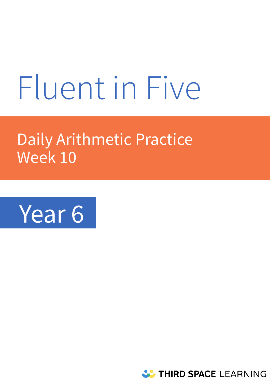# Fluent in Five

# Daily Arithmetic Practice Week 10



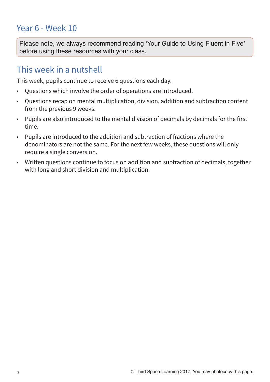# Year 6 - Week 10

**Please note, we always recommend reading 'Your Guide to Using Fluent in Five' before using these resources with your class.** 

# This week in a nutshell

This week, pupils continue to receive 6 questions each day.

- Questions which involve the order of operations are introduced.
- Questions recap on mental multiplication, division, addition and subtraction content from the previous 9 weeks.
- Pupils are also introduced to the mental division of decimals by decimals for the first time.
- Pupils are introduced to the addition and subtraction of fractions where the denominators are not the same. For the next few weeks, these questions will only require a single conversion.
- Written questions continue to focus on addition and subtraction of decimals, together with long and short division and multiplication.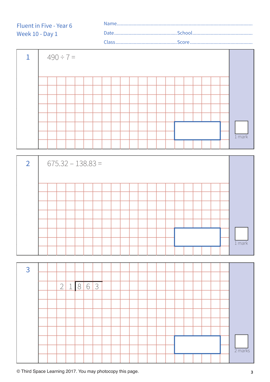| 1 |  | $490 \div 7 =$ |  |  |  |  |  |  |  |  |  |          |  |
|---|--|----------------|--|--|--|--|--|--|--|--|--|----------|--|
|   |  |                |  |  |  |  |  |  |  |  |  |          |  |
|   |  |                |  |  |  |  |  |  |  |  |  |          |  |
|   |  |                |  |  |  |  |  |  |  |  |  |          |  |
|   |  |                |  |  |  |  |  |  |  |  |  |          |  |
|   |  |                |  |  |  |  |  |  |  |  |  |          |  |
|   |  |                |  |  |  |  |  |  |  |  |  |          |  |
|   |  |                |  |  |  |  |  |  |  |  |  |          |  |
|   |  |                |  |  |  |  |  |  |  |  |  | $1$ mark |  |
|   |  |                |  |  |  |  |  |  |  |  |  |          |  |

| $\overline{2}$ |  |  | $675.32 - 138.83 =$ |  |  |  |  |  |  |  |          |
|----------------|--|--|---------------------|--|--|--|--|--|--|--|----------|
|                |  |  |                     |  |  |  |  |  |  |  |          |
|                |  |  |                     |  |  |  |  |  |  |  |          |
|                |  |  |                     |  |  |  |  |  |  |  |          |
|                |  |  |                     |  |  |  |  |  |  |  |          |
|                |  |  |                     |  |  |  |  |  |  |  |          |
|                |  |  |                     |  |  |  |  |  |  |  |          |
|                |  |  |                     |  |  |  |  |  |  |  |          |
|                |  |  |                     |  |  |  |  |  |  |  | $1$ mark |
|                |  |  |                     |  |  |  |  |  |  |  |          |

| $\overline{3}$ |  |            |        |       |     |  |  |  |  |  |  |  |           |
|----------------|--|------------|--------|-------|-----|--|--|--|--|--|--|--|-----------|
|                |  |            |        |       |     |  |  |  |  |  |  |  |           |
|                |  | $\sqrt{2}$ | 1<br>ᆂ | $8\,$ | 6 3 |  |  |  |  |  |  |  |           |
|                |  |            |        |       |     |  |  |  |  |  |  |  |           |
|                |  |            |        |       |     |  |  |  |  |  |  |  |           |
|                |  |            |        |       |     |  |  |  |  |  |  |  |           |
|                |  |            |        |       |     |  |  |  |  |  |  |  |           |
|                |  |            |        |       |     |  |  |  |  |  |  |  |           |
|                |  |            |        |       |     |  |  |  |  |  |  |  |           |
|                |  |            |        |       |     |  |  |  |  |  |  |  | $2$ marks |
|                |  |            |        |       |     |  |  |  |  |  |  |  |           |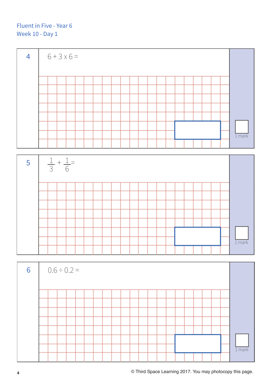



| 6 |  | $0.6 \div 0.2 =$ |  |  |  |  |  |  |  |  |          |
|---|--|------------------|--|--|--|--|--|--|--|--|----------|
|   |  |                  |  |  |  |  |  |  |  |  |          |
|   |  |                  |  |  |  |  |  |  |  |  |          |
|   |  |                  |  |  |  |  |  |  |  |  |          |
|   |  |                  |  |  |  |  |  |  |  |  |          |
|   |  |                  |  |  |  |  |  |  |  |  |          |
|   |  |                  |  |  |  |  |  |  |  |  |          |
|   |  |                  |  |  |  |  |  |  |  |  |          |
|   |  |                  |  |  |  |  |  |  |  |  | $1$ mark |
|   |  |                  |  |  |  |  |  |  |  |  |          |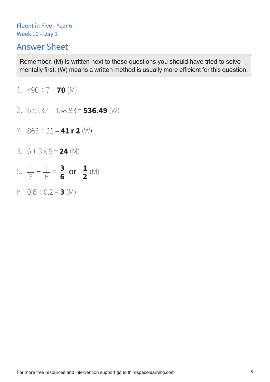### Answer Sheet

- 1.  $490 \div 7 = 70$  (M)
- 2. 675.32 138.83 = **536.49** (W)
- 3. 863 ÷ 21 = **41 r 2** (W)
- 4. 6 + 3 x 6 = **24** (M)
- 5.  $\frac{1}{2} + \frac{1}{6} = \frac{3}{6}$  or  $\frac{1}{2}$  (M) 3 1 6 **3 6 1 2**
- 6. 0.6 ÷ 0.2 = **3** (M)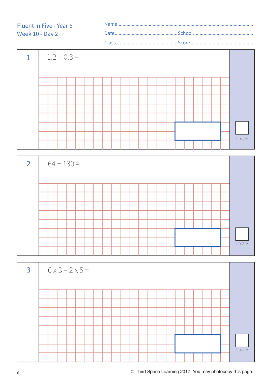

| $\overline{2}$ |  | $64 + 130 =$ |  |  |  |  |  |  |  |  |  |          |
|----------------|--|--------------|--|--|--|--|--|--|--|--|--|----------|
|                |  |              |  |  |  |  |  |  |  |  |  |          |
|                |  |              |  |  |  |  |  |  |  |  |  |          |
|                |  |              |  |  |  |  |  |  |  |  |  |          |
|                |  |              |  |  |  |  |  |  |  |  |  |          |
|                |  |              |  |  |  |  |  |  |  |  |  |          |
|                |  |              |  |  |  |  |  |  |  |  |  |          |
|                |  |              |  |  |  |  |  |  |  |  |  |          |
|                |  |              |  |  |  |  |  |  |  |  |  | $1$ mark |
|                |  |              |  |  |  |  |  |  |  |  |  |          |

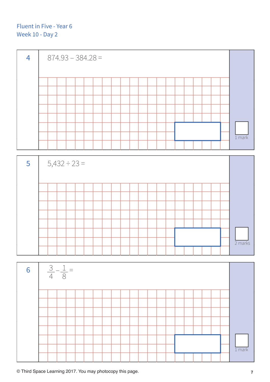

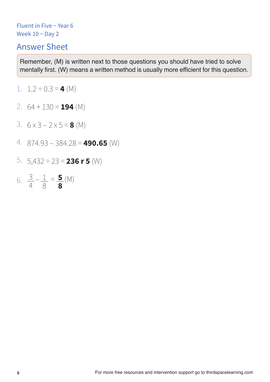# Answer Sheet

- 1.  $1.2 \div 0.3 = 4$  (M)
- 2. 64 + 130 = **194** (M)
- 3. 6 x 3 2 x 5 = **8** (M)
- 4. 874.93 384.28 = **490.65** (W)
- 5. 5,432 ÷ 23 = **236 r 5** (W)
- 6.  $\frac{3}{4} \frac{1}{8} = \frac{5}{8}$  (M) 8 3 4 **5 8**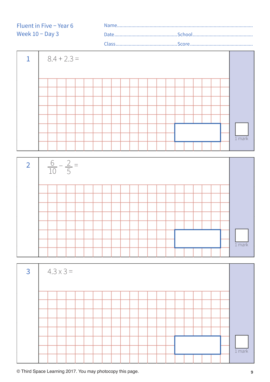

| $\overline{3}$ |  | $4.3 \times 3 =$ |  |  |  |  |  |  |  |  |  |          |
|----------------|--|------------------|--|--|--|--|--|--|--|--|--|----------|
|                |  |                  |  |  |  |  |  |  |  |  |  |          |
|                |  |                  |  |  |  |  |  |  |  |  |  |          |
|                |  |                  |  |  |  |  |  |  |  |  |  |          |
|                |  |                  |  |  |  |  |  |  |  |  |  |          |
|                |  |                  |  |  |  |  |  |  |  |  |  |          |
|                |  |                  |  |  |  |  |  |  |  |  |  |          |
|                |  |                  |  |  |  |  |  |  |  |  |  |          |
|                |  |                  |  |  |  |  |  |  |  |  |  | $1$ mark |
|                |  |                  |  |  |  |  |  |  |  |  |  |          |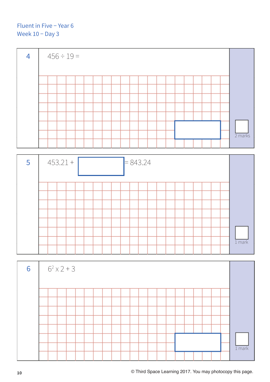#### Fluent in Five − Year 6 Week 10 <sup>-</sup> Day 3





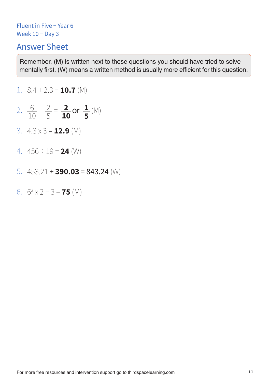# Answer Sheet

1. 
$$
8.4 + 2.3 =
$$
 **10.7** (M)

- 2.  $\frac{6}{10} \frac{2}{5} = \frac{2}{10}$  or  $\frac{1}{5}$  (M) 5 6 10 **1 5 2 10**
- 3. 4.3 x 3 = **12.9** (M)
- 4. 456 ÷ 19 = **24** (W)
- 5. 453.21 + **390.03** = 843.24 (W)
- 6.  $6^2 \times 2 + 3 = 75$  (M)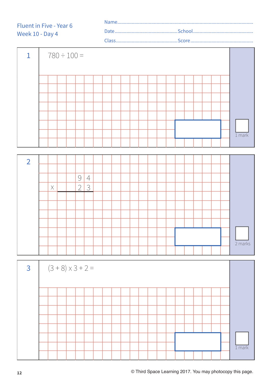| Fluent in Five - Year 6 |  |
|-------------------------|--|
| Week 10 - Day 4         |  |
|                         |  |

| 1 |  | $780 \div 100 =$ |  |  |  |  |  |  |  |  |          |
|---|--|------------------|--|--|--|--|--|--|--|--|----------|
|   |  |                  |  |  |  |  |  |  |  |  |          |
|   |  |                  |  |  |  |  |  |  |  |  |          |
|   |  |                  |  |  |  |  |  |  |  |  |          |
|   |  |                  |  |  |  |  |  |  |  |  |          |
|   |  |                  |  |  |  |  |  |  |  |  |          |
|   |  |                  |  |  |  |  |  |  |  |  |          |
|   |  |                  |  |  |  |  |  |  |  |  |          |
|   |  |                  |  |  |  |  |  |  |  |  | $1$ mark |
|   |  |                  |  |  |  |  |  |  |  |  |          |



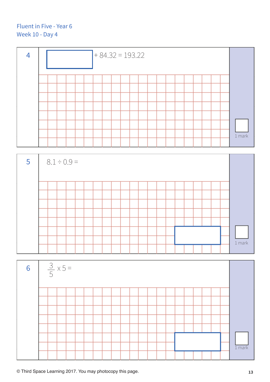



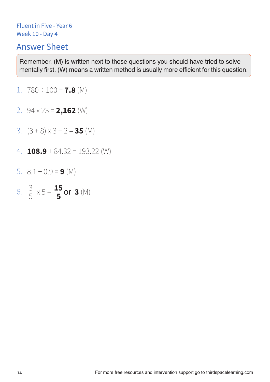# Answer Sheet

- 1. 780 ÷ 100 = **7.8** (M)
- 2. 94 x 23 = **2,162** (W)
- 3. (3 + 8) x 3 + 2 = **35** (M)
- 4. **108.9** + 84.32 = 193.22 (W)
- 5.  $8.1 \div 0.9 = 9$  (M)
- 6.  $\frac{3}{5} \times 5 = \frac{15}{5}$  or 3 (M) 5 **15 5**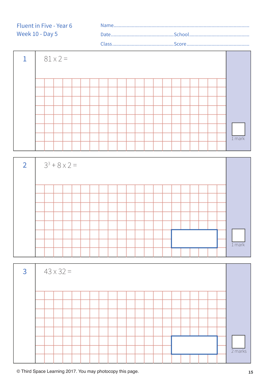

| $\overline{2}$ | $3^3 + 8 \times 2 =$ |  |  |  |  |  |  |  |  |  |  |  |  |  |  |  |  |  |          |
|----------------|----------------------|--|--|--|--|--|--|--|--|--|--|--|--|--|--|--|--|--|----------|
|                |                      |  |  |  |  |  |  |  |  |  |  |  |  |  |  |  |  |  |          |
|                |                      |  |  |  |  |  |  |  |  |  |  |  |  |  |  |  |  |  |          |
|                |                      |  |  |  |  |  |  |  |  |  |  |  |  |  |  |  |  |  |          |
|                |                      |  |  |  |  |  |  |  |  |  |  |  |  |  |  |  |  |  |          |
|                |                      |  |  |  |  |  |  |  |  |  |  |  |  |  |  |  |  |  |          |
|                |                      |  |  |  |  |  |  |  |  |  |  |  |  |  |  |  |  |  |          |
|                |                      |  |  |  |  |  |  |  |  |  |  |  |  |  |  |  |  |  |          |
|                |                      |  |  |  |  |  |  |  |  |  |  |  |  |  |  |  |  |  | $1$ mark |
|                |                      |  |  |  |  |  |  |  |  |  |  |  |  |  |  |  |  |  |          |

| $\overline{3}$ | $43 \times 32 =$ |  |  |  |  |  |  |  |  |  |  |  |  |  |  |  |  |  |           |
|----------------|------------------|--|--|--|--|--|--|--|--|--|--|--|--|--|--|--|--|--|-----------|
|                |                  |  |  |  |  |  |  |  |  |  |  |  |  |  |  |  |  |  |           |
|                |                  |  |  |  |  |  |  |  |  |  |  |  |  |  |  |  |  |  |           |
|                |                  |  |  |  |  |  |  |  |  |  |  |  |  |  |  |  |  |  |           |
|                |                  |  |  |  |  |  |  |  |  |  |  |  |  |  |  |  |  |  |           |
|                |                  |  |  |  |  |  |  |  |  |  |  |  |  |  |  |  |  |  |           |
|                |                  |  |  |  |  |  |  |  |  |  |  |  |  |  |  |  |  |  |           |
|                |                  |  |  |  |  |  |  |  |  |  |  |  |  |  |  |  |  |  |           |
|                |                  |  |  |  |  |  |  |  |  |  |  |  |  |  |  |  |  |  | $2$ marks |
|                |                  |  |  |  |  |  |  |  |  |  |  |  |  |  |  |  |  |  |           |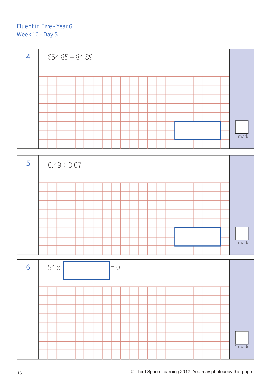